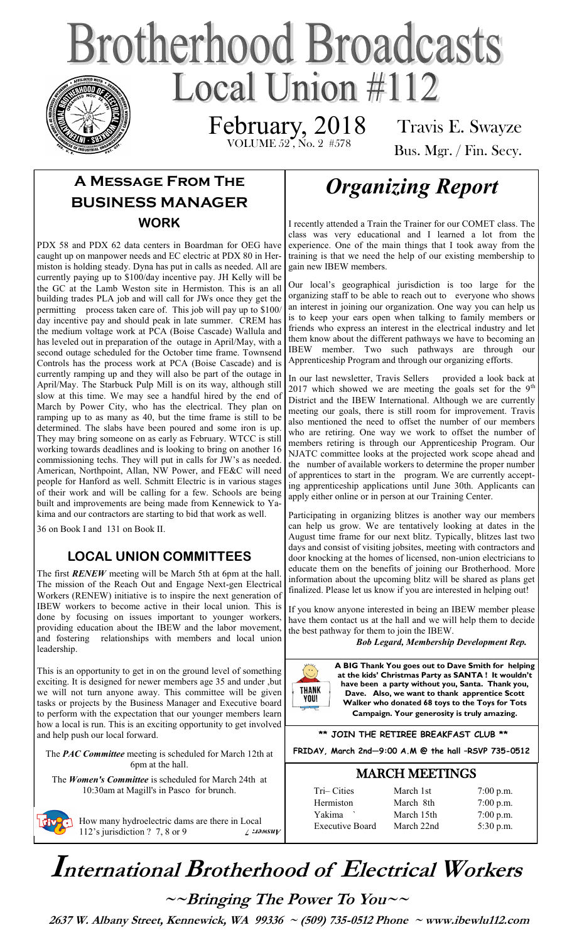# **Brotherhood Broadcasts** Local Union  $\#112$

VOLUME 52, No. 2 #578 February, 2018

Travis E. Swayze

Bus. Mgr. / Fin. Secy.

# **A Message From The BUSINESS MANAGER WORK**

PDX 58 and PDX 62 data centers in Boardman for OEG have caught up on manpower needs and EC electric at PDX 80 in Hermiston is holding steady. Dyna has put in calls as needed. All are currently paying up to \$100/day incentive pay. JH Kelly will be the GC at the Lamb Weston site in Hermiston. This is an all building trades PLA job and will call for JWs once they get the permitting process taken care of. This job will pay up to \$100/ day incentive pay and should peak in late summer. CREM has the medium voltage work at PCA (Boise Cascade) Wallula and has leveled out in preparation of the outage in April/May, with a second outage scheduled for the October time frame. Townsend Controls has the process work at PCA (Boise Cascade) and is currently ramping up and they will also be part of the outage in April/May. The Starbuck Pulp Mill is on its way, although still slow at this time. We may see a handful hired by the end of March by Power City, who has the electrical. They plan on ramping up to as many as 40, but the time frame is still to be determined. The slabs have been poured and some iron is up. They may bring someone on as early as February. WTCC is still working towards deadlines and is looking to bring on another 16 commissioning techs. They will put in calls for JW's as needed. American, Northpoint, Allan, NW Power, and FE&C will need people for Hanford as well. Schmitt Electric is in various stages of their work and will be calling for a few. Schools are being built and improvements are being made from Kennewick to Yakima and our contractors are starting to bid that work as well.

36 on Book I and 131 on Book II.

### **LOCAL UNION COMMITTEES**

The first *RENEW* meeting will be March 5th at 6pm at the hall. The mission of the Reach Out and Engage Next-gen Electrical Workers (RENEW) initiative is to inspire the next generation of IBEW workers to become active in their local union. This is done by focusing on issues important to younger workers, providing education about the IBEW and the labor movement, and fostering relationships with members and local union leadership.

This is an opportunity to get in on the ground level of something exciting. It is designed for newer members age 35 and under ,but we will not turn anyone away. This committee will be given tasks or projects by the Business Manager and Executive board to perform with the expectation that our younger members learn how a local is run. This is an exciting opportunity to get involved and help push our local forward.

The *PAC Committee* meeting is scheduled for March 12th at 6pm at the hall.

The *Women's Committee* is scheduled for March 24th at 10:30am at Magill's in Pasco for brunch.



# *Organizing Report*

I recently attended a Train the Trainer for our COMET class. The class was very educational and I learned a lot from the experience. One of the main things that I took away from the training is that we need the help of our existing membership to gain new IBEW members.

Our local's geographical jurisdiction is too large for the organizing staff to be able to reach out to everyone who shows an interest in joining our organization. One way you can help us is to keep your ears open when talking to family members or friends who express an interest in the electrical industry and let them know about the different pathways we have to becoming an IBEW member. Two such pathways are through our Apprenticeship Program and through our organizing efforts.

In our last newsletter, Travis Sellers provided a look back at 2017 which showed we are meeting the goals set for the  $9<sup>th</sup>$ District and the IBEW International. Although we are currently meeting our goals, there is still room for improvement. Travis also mentioned the need to offset the number of our members who are retiring. One way we work to offset the number of members retiring is through our Apprenticeship Program. Our NJATC committee looks at the projected work scope ahead and the number of available workers to determine the proper number of apprentices to start in the program. We are currently accepting apprenticeship applications until June 30th. Applicants can apply either online or in person at our Training Center.

Participating in organizing blitzes is another way our members can help us grow. We are tentatively looking at dates in the August time frame for our next blitz. Typically, blitzes last two days and consist of visiting jobsites, meeting with contractors and door knocking at the homes of licensed, non-union electricians to educate them on the benefits of joining our Brotherhood. More information about the upcoming blitz will be shared as plans get finalized. Please let us know if you are interested in helping out!

If you know anyone interested in being an IBEW member please have them contact us at the hall and we will help them to decide the best pathway for them to join the IBEW.

 *Bob Legard, Membership Development Rep.* 



**A BIG Thank You goes out to Dave Smith for helping at the kids' Christmas Party as SANTA ! It wouldn't have been a party without you, Santa. Thank you, Dave. Also, we want to thank apprentice Scott Walker who donated 68 toys to the Toys for Tots Campaign. Your generosity is truly amazing.**

#### **\*\* JOIN THE RETIREE BREAKFAST CLUB \*\***

**FRIDAY, March 2nd—9:00 A.M @ the hall –RSVP 735-0512**

### MARCH MEETINGS

| March 1st  | $7:00$ p.m. |
|------------|-------------|
| March 8th  | $7:00$ p.m. |
| March 15th | $7:00$ p.m. |
| March 22nd | $5:30$ p.m. |
|            |             |

# **International Brotherhood of <sup>E</sup>lectrical Workers**

**~~Bringing The Power To You~~** 

 **2637 W. Albany Street, Kennewick, WA 99336 ~ (509) 735-0512 Phone ~ www.ibewlu112.com**